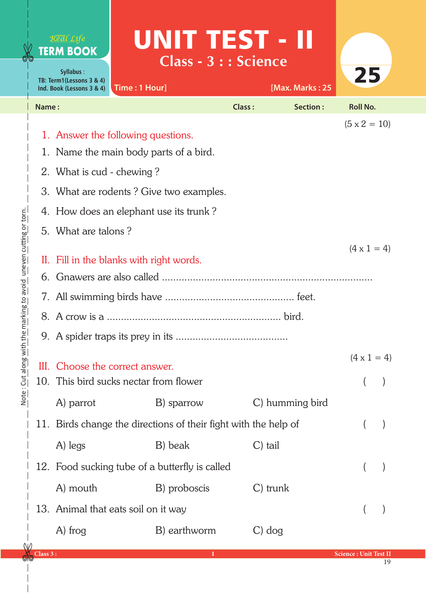|                                            |       | Real Life<br><b>TERM BOOK</b><br>Syllabus:<br>TB: Term1(Lessons 3 & 4)<br>Ind. Book (Lessons 3 & 4)                                                                                                                   | UNIT TEST - II<br><b>Class - 3 : : Science</b><br>Time: 1 Hour]           |               | [Max. Marks: 25 | 25                 |  |  |
|--------------------------------------------|-------|-----------------------------------------------------------------------------------------------------------------------------------------------------------------------------------------------------------------------|---------------------------------------------------------------------------|---------------|-----------------|--------------------|--|--|
|                                            | Name: |                                                                                                                                                                                                                       |                                                                           | <b>Class:</b> | Section:        | <b>Roll No.</b>    |  |  |
| $\frac{1}{2}$                              |       | $(5 \times 2 = 10)$<br>1. Answer the following questions.<br>1. Name the main body parts of a bird.<br>2. What is cud - chewing?<br>3. What are rodents? Give two examples.<br>4. How does an elephant use its trunk? |                                                                           |               |                 |                    |  |  |
| ilai vilip ila avolu Tuileveli Currilip Ol |       | 5. What are talons?<br>II. Fill in the blanks with right words.                                                                                                                                                       | $(4 \times 1 = 4)$                                                        |               |                 |                    |  |  |
|                                            | 9.    |                                                                                                                                                                                                                       | III. Choose the correct answer.<br>10. This bird sucks nectar from flower |               |                 | $(4 \times 1 = 4)$ |  |  |
|                                            |       | A) parrot<br>C) humming bird<br>B) sparrow<br>11. Birds change the directions of their fight with the help of<br>A) legs<br>B) beak<br>$C$ ) tail                                                                     |                                                                           |               |                 |                    |  |  |
|                                            |       | A) mouth                                                                                                                                                                                                              | 12. Food sucking tube of a butterfly is called<br>B) proboscis            | C) trunk      |                 |                    |  |  |
| ∧⊥∧                                        |       | A) frog                                                                                                                                                                                                               | 13. Animal that eats soil on it way<br>B) earthworm                       | $C$ ) dog     |                 |                    |  |  |